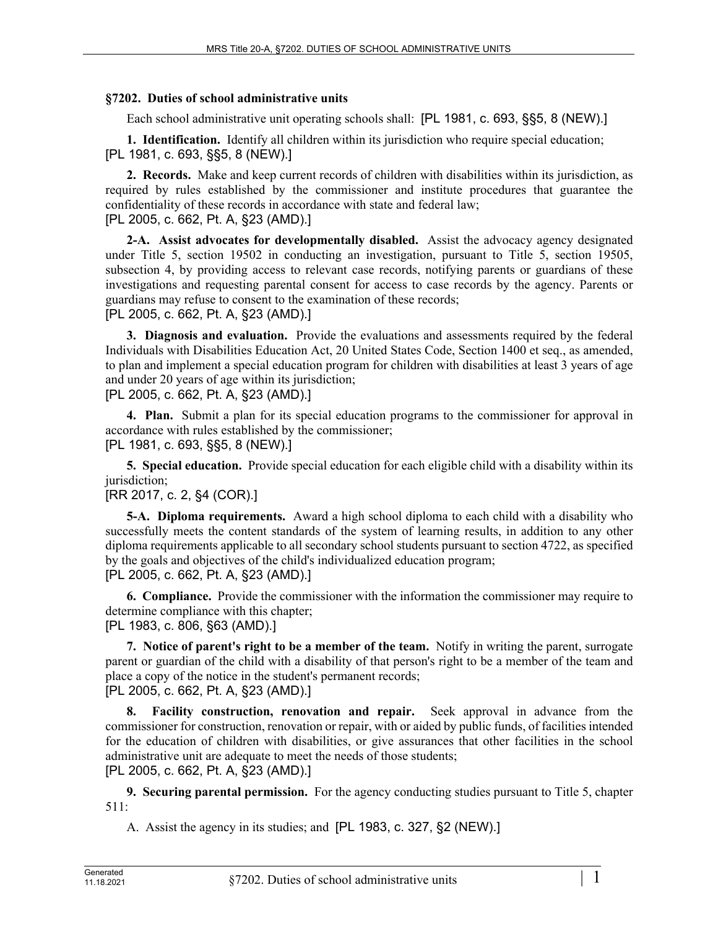## **§7202. Duties of school administrative units**

Each school administrative unit operating schools shall: [PL 1981, c. 693, §§5, 8 (NEW).]

**1. Identification.** Identify all children within its jurisdiction who require special education; [PL 1981, c. 693, §§5, 8 (NEW).]

**2. Records.** Make and keep current records of children with disabilities within its jurisdiction, as required by rules established by the commissioner and institute procedures that guarantee the confidentiality of these records in accordance with state and federal law; [PL 2005, c. 662, Pt. A, §23 (AMD).]

**2-A. Assist advocates for developmentally disabled.** Assist the advocacy agency designated under Title 5, section 19502 in conducting an investigation, pursuant to Title 5, section 19505, subsection 4, by providing access to relevant case records, notifying parents or guardians of these investigations and requesting parental consent for access to case records by the agency. Parents or guardians may refuse to consent to the examination of these records; [PL 2005, c. 662, Pt. A, §23 (AMD).]

**3. Diagnosis and evaluation.** Provide the evaluations and assessments required by the federal Individuals with Disabilities Education Act, 20 United States Code, Section 1400 et seq., as amended, to plan and implement a special education program for children with disabilities at least 3 years of age and under 20 years of age within its jurisdiction;

[PL 2005, c. 662, Pt. A, §23 (AMD).]

**4. Plan.** Submit a plan for its special education programs to the commissioner for approval in accordance with rules established by the commissioner; [PL 1981, c. 693, §§5, 8 (NEW).]

**5. Special education.** Provide special education for each eligible child with a disability within its jurisdiction;

## [RR 2017, c. 2, §4 (COR).]

**5-A. Diploma requirements.** Award a high school diploma to each child with a disability who successfully meets the content standards of the system of learning results, in addition to any other diploma requirements applicable to all secondary school students pursuant to section 4722, as specified by the goals and objectives of the child's individualized education program; [PL 2005, c. 662, Pt. A, §23 (AMD).]

**6. Compliance.** Provide the commissioner with the information the commissioner may require to determine compliance with this chapter;

[PL 1983, c. 806, §63 (AMD).]

**7. Notice of parent's right to be a member of the team.** Notify in writing the parent, surrogate parent or guardian of the child with a disability of that person's right to be a member of the team and place a copy of the notice in the student's permanent records; [PL 2005, c. 662, Pt. A, §23 (AMD).]

**Facility construction, renovation and repair.** Seek approval in advance from the commissioner for construction, renovation or repair, with or aided by public funds, of facilities intended for the education of children with disabilities, or give assurances that other facilities in the school administrative unit are adequate to meet the needs of those students; [PL 2005, c. 662, Pt. A, §23 (AMD).]

**9. Securing parental permission.** For the agency conducting studies pursuant to Title 5, chapter 511:

A. Assist the agency in its studies; and [PL 1983, c. 327, §2 (NEW).]